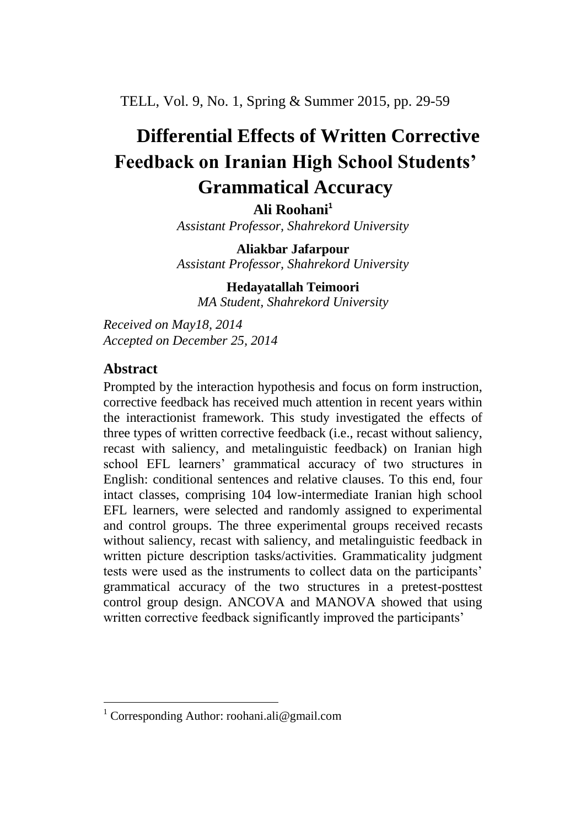TELL, Vol. 9, No. 1, Spring & Summer 2015, pp. 29-59

# **Differential Effects of Written Corrective Feedback on Iranian High School Students' Grammatical Accuracy**

**Ali Roohani<sup>1</sup>** *Assistant Professor, Shahrekord University*

**Aliakbar Jafarpour**

*Assistant Professor, Shahrekord University*

**Hedayatallah Teimoori** *MA Student, Shahrekord University*

*Received on May18, 2014 Accepted on December 25, 2014*

# **Abstract**

 $\overline{a}$ 

Prompted by the interaction hypothesis and focus on form instruction, corrective feedback has received much attention in recent years within the interactionist framework. This study investigated the effects of three types of written corrective feedback (i.e., recast without saliency, recast with saliency, and metalinguistic feedback) on Iranian high school EFL learners' grammatical accuracy of two structures in English: conditional sentences and relative clauses. To this end, four intact classes, comprising 104 low-intermediate Iranian high school EFL learners, were selected and randomly assigned to experimental and control groups. The three experimental groups received recasts without saliency, recast with saliency, and metalinguistic feedback in written picture description tasks/activities. Grammaticality judgment tests were used as the instruments to collect data on the participants' grammatical accuracy of the two structures in a pretest-posttest control group design. ANCOVA and MANOVA showed that using written corrective feedback significantly improved the participants'

<sup>&</sup>lt;sup>1</sup> Corresponding Author: roohani.ali@gmail.com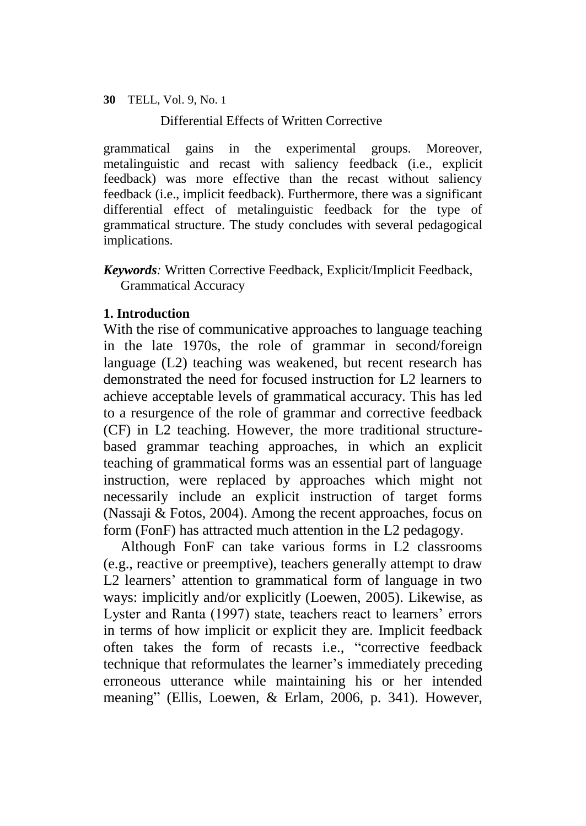Differential Effects of Written Corrective

grammatical gains in the experimental groups. Moreover, metalinguistic and recast with saliency feedback (i.e., explicit feedback) was more effective than the recast without saliency feedback (i.e., implicit feedback). Furthermore, there was a significant differential effect of metalinguistic feedback for the type of grammatical structure. The study concludes with several pedagogical implications.

*Keywords:* Written Corrective Feedback, Explicit/Implicit Feedback, Grammatical Accuracy

# **1. Introduction**

With the rise of communicative approaches to language teaching in the late 1970s, the role of grammar in second/foreign language (L2) teaching was weakened, but recent research has demonstrated the need for focused instruction for L2 learners to achieve acceptable levels of grammatical accuracy. This has led to a resurgence of the role of grammar and corrective feedback (CF) in L2 teaching. However, the more traditional structurebased grammar teaching approaches, in which an explicit teaching of grammatical forms was an essential part of language instruction, were replaced by approaches which might not necessarily include an explicit instruction of target forms (Nassaji & Fotos, 2004). Among the recent approaches, focus on form (FonF) has attracted much attention in the L2 pedagogy.

Although FonF can take various forms in L2 classrooms (e.g., reactive or preemptive), teachers generally attempt to draw L2 learners' attention to grammatical form of language in two ways: implicitly and/or explicitly (Loewen, 2005). Likewise, as Lyster and Ranta (1997) state, teachers react to learners' errors in terms of how implicit or explicit they are. Implicit feedback often takes the form of recasts i.e., "corrective feedback technique that reformulates the learner's immediately preceding erroneous utterance while maintaining his or her intended meaning" (Ellis, Loewen, & Erlam, 2006, p. 341). However,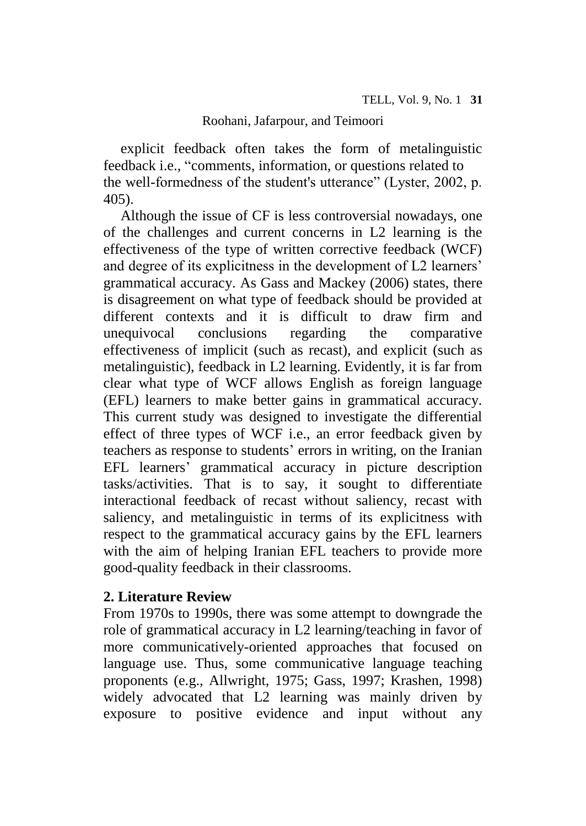explicit feedback often takes the form of metalinguistic feedback i.e., "comments, information, or questions related to the well-formedness of the student's utterance" (Lyster, 2002, p. 405).

Although the issue of CF is less controversial nowadays, one of the challenges and current concerns in L2 learning is the effectiveness of the type of written corrective feedback (WCF) and degree of its explicitness in the development of L2 learners' grammatical accuracy. As Gass and Mackey (2006) states, there is disagreement on what type of feedback should be provided at different contexts and it is difficult to draw firm and unequivocal conclusions regarding the comparative effectiveness of implicit (such as recast), and explicit (such as metalinguistic), feedback in L2 learning. Evidently, it is far from clear what type of WCF allows English as foreign language (EFL) learners to make better gains in grammatical accuracy. This current study was designed to investigate the differential effect of three types of WCF i.e., an error feedback given by teachers as response to students' errors in writing, on the Iranian EFL learners' grammatical accuracy in picture description tasks/activities. That is to say, it sought to differentiate interactional feedback of recast without saliency, recast with saliency, and metalinguistic in terms of its explicitness with respect to the grammatical accuracy gains by the EFL learners with the aim of helping Iranian EFL teachers to provide more good-quality feedback in their classrooms.

# **2. Literature Review**

From 1970s to 1990s, there was some attempt to downgrade the role of grammatical accuracy in L2 learning/teaching in favor of more communicatively-oriented approaches that focused on language use. Thus, some communicative language teaching proponents (e.g., Allwright, 1975; Gass, 1997; Krashen, 1998) widely advocated that L2 learning was mainly driven by exposure to positive evidence and input without any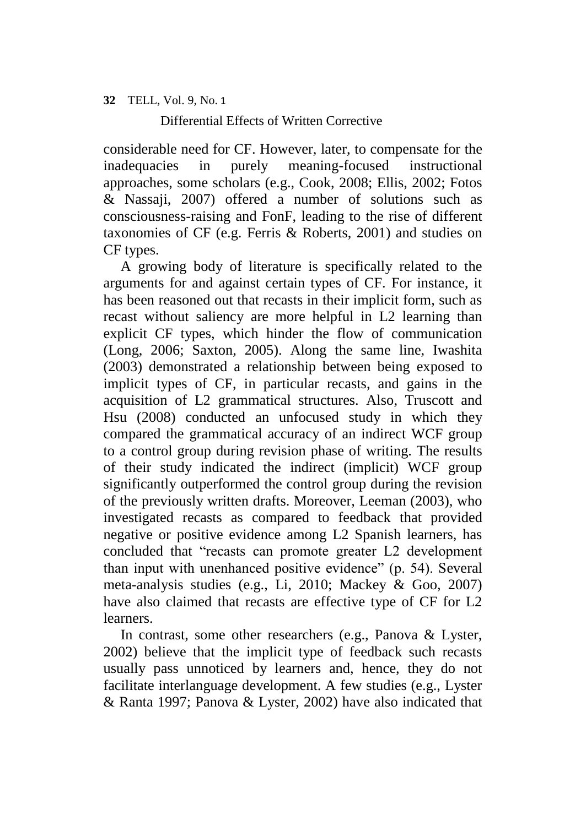Differential Effects of Written Corrective

considerable need for CF. However, later, to compensate for the inadequacies in purely meaning-focused instructional approaches, some scholars (e.g., Cook, 2008; Ellis, 2002; Fotos & Nassaji, 2007) offered a number of solutions such as consciousness-raising and FonF, leading to the rise of different taxonomies of CF (e.g. Ferris & Roberts, 2001) and studies on CF types.

A growing body of literature is specifically related to the arguments for and against certain types of CF. For instance, it has been reasoned out that recasts in their implicit form, such as recast without saliency are more helpful in L2 learning than explicit CF types, which hinder the flow of communication (Long, 2006; Saxton, 2005). Along the same line, Iwashita (2003) demonstrated a relationship between being exposed to implicit types of CF, in particular recasts, and gains in the acquisition of L2 grammatical structures. Also, Truscott and Hsu (2008) conducted an unfocused study in which they compared the grammatical accuracy of an indirect WCF group to a control group during revision phase of writing. The results of their study indicated the indirect (implicit) WCF group significantly outperformed the control group during the revision of the previously written drafts. Moreover, Leeman (2003), who investigated recasts as compared to feedback that provided negative or positive evidence among L2 Spanish learners, has concluded that "recasts can promote greater L2 development than input with unenhanced positive evidence" (p. 54). Several meta-analysis studies (e.g., Li, 2010; Mackey & Goo, 2007) have also claimed that recasts are effective type of CF for L2 learners.

In contrast, some other researchers (e.g., Panova & Lyster, 2002) believe that the implicit type of feedback such recasts usually pass unnoticed by learners and, hence, they do not facilitate interlanguage development. A few studies (e.g., Lyster & Ranta 1997; Panova & Lyster, 2002) have also indicated that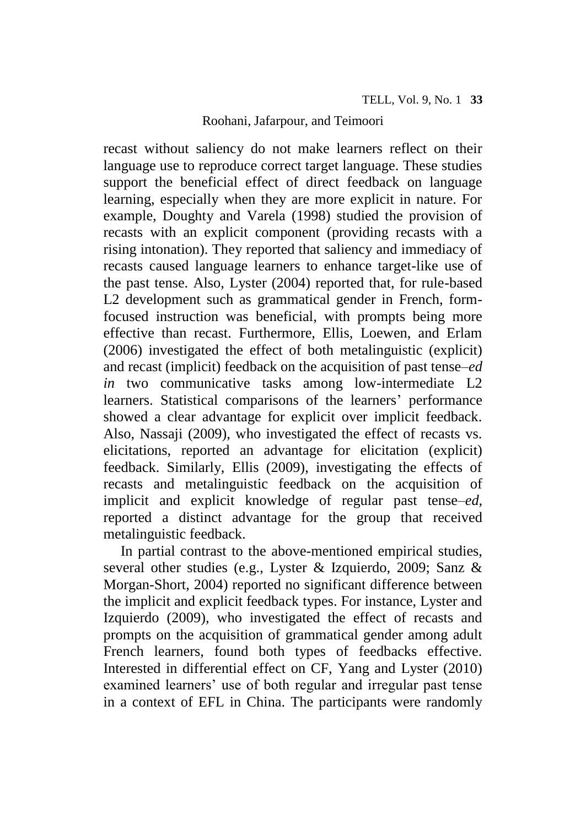recast without saliency do not make learners reflect on their language use to reproduce correct target language. These studies support the beneficial effect of direct feedback on language learning, especially when they are more explicit in nature. For example, Doughty and Varela (1998) studied the provision of recasts with an explicit component (providing recasts with a rising intonation). They reported that saliency and immediacy of recasts caused language learners to enhance target-like use of the past tense. Also, Lyster (2004) reported that, for rule-based L2 development such as grammatical gender in French, formfocused instruction was beneficial, with prompts being more effective than recast. Furthermore, Ellis, Loewen, and Erlam (2006) investigated the effect of both metalinguistic (explicit) and recast (implicit) feedback on the acquisition of past tense–*ed in* two communicative tasks among low-intermediate L2 learners. Statistical comparisons of the learners' performance showed a clear advantage for explicit over implicit feedback. Also, Nassaji (2009), who investigated the effect of recasts vs. elicitations, reported an advantage for elicitation (explicit) feedback. Similarly, Ellis (2009), investigating the effects of recasts and metalinguistic feedback on the acquisition of implicit and explicit knowledge of regular past tense–*ed,* reported a distinct advantage for the group that received metalinguistic feedback.

In partial contrast to the above-mentioned empirical studies, several other studies (e.g., Lyster & Izquierdo, 2009; Sanz & Morgan-Short, 2004) reported no significant difference between the implicit and explicit feedback types. For instance, Lyster and Izquierdo (2009), who investigated the effect of recasts and prompts on the acquisition of grammatical gender among adult French learners, found both types of feedbacks effective. Interested in differential effect on CF, Yang and Lyster (2010) examined learners' use of both regular and irregular past tense in a context of EFL in China. The participants were randomly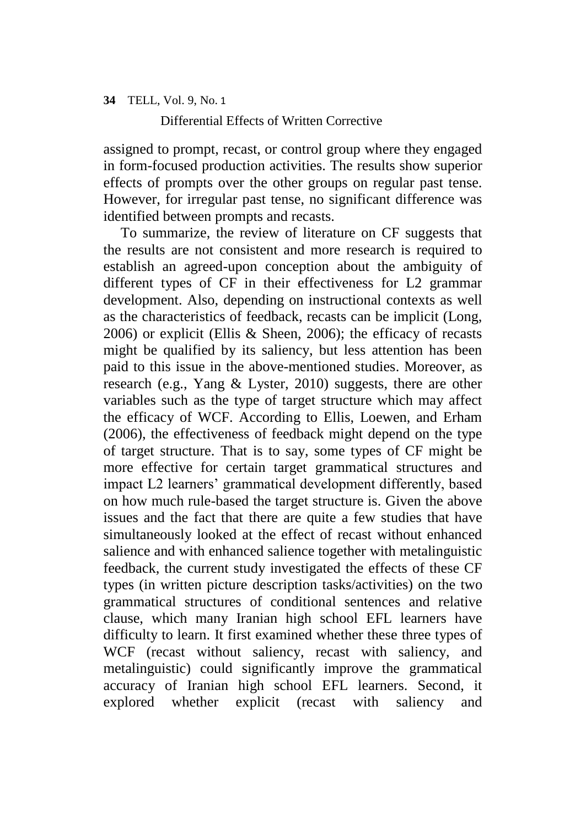Differential Effects of Written Corrective

assigned to prompt, recast, or control group where they engaged in form-focused production activities. The results show superior effects of prompts over the other groups on regular past tense. However, for irregular past tense, no significant difference was identified between prompts and recasts.

To summarize, the review of literature on CF suggests that the results are not consistent and more research is required to establish an agreed-upon conception about the ambiguity of different types of CF in their effectiveness for L2 grammar development. Also, depending on instructional contexts as well as the characteristics of feedback, recasts can be implicit (Long, 2006) or explicit (Ellis & Sheen, 2006); the efficacy of recasts might be qualified by its saliency, but less attention has been paid to this issue in the above-mentioned studies. Moreover, as research (e.g., Yang & Lyster, 2010) suggests, there are other variables such as the type of target structure which may affect the efficacy of WCF. According to Ellis, Loewen, and Erham (2006), the effectiveness of feedback might depend on the type of target structure. That is to say, some types of CF might be more effective for certain target grammatical structures and impact L2 learners' grammatical development differently, based on how much rule-based the target structure is. Given the above issues and the fact that there are quite a few studies that have simultaneously looked at the effect of recast without enhanced salience and with enhanced salience together with metalinguistic feedback, the current study investigated the effects of these CF types (in written picture description tasks/activities) on the two grammatical structures of conditional sentences and relative clause, which many Iranian high school EFL learners have difficulty to learn. It first examined whether these three types of WCF (recast without saliency, recast with saliency, and metalinguistic) could significantly improve the grammatical accuracy of Iranian high school EFL learners. Second, it explored whether explicit (recast with saliency and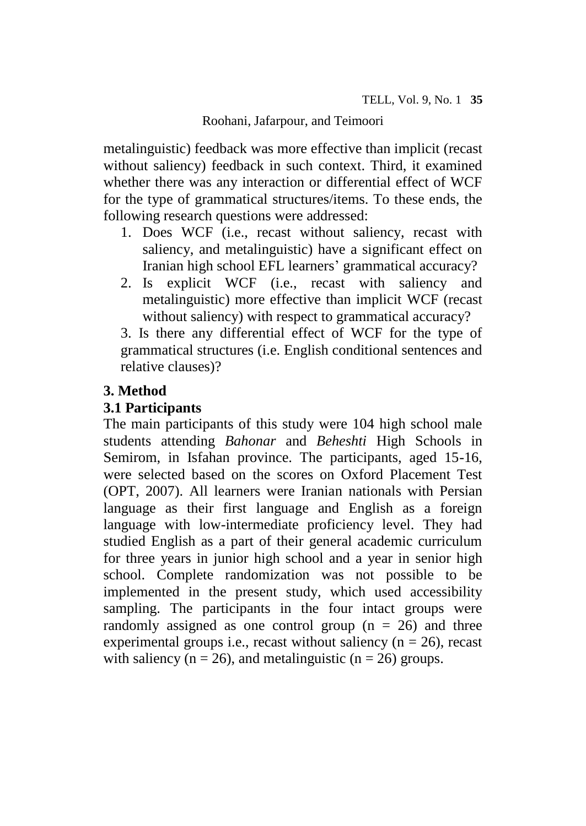metalinguistic) feedback was more effective than implicit (recast without saliency) feedback in such context. Third, it examined whether there was any interaction or differential effect of WCF for the type of grammatical structures/items. To these ends, the following research questions were addressed:

- 1. Does WCF (i.e., recast without saliency, recast with saliency, and metalinguistic) have a significant effect on Iranian high school EFL learners' grammatical accuracy?
- 2. Is explicit WCF (i.e., recast with saliency and metalinguistic) more effective than implicit WCF (recast without saliency) with respect to grammatical accuracy?

3. Is there any differential effect of WCF for the type of grammatical structures (i.e. English conditional sentences and relative clauses)?

# **3. Method**

# **3.1 Participants**

The main participants of this study were 104 high school male students attending *Bahonar* and *Beheshti* High Schools in Semirom, in Isfahan province. The participants, aged 15-16, were selected based on the scores on Oxford Placement Test (OPT, 2007). All learners were Iranian nationals with Persian language as their first language and English as a foreign language with low-intermediate proficiency level. They had studied English as a part of their general academic curriculum for three years in junior high school and a year in senior high school. Complete randomization was not possible to be implemented in the present study, which used accessibility sampling. The participants in the four intact groups were randomly assigned as one control group  $(n = 26)$  and three experimental groups i.e., recast without saliency  $(n = 26)$ , recast with saliency ( $n = 26$ ), and metalinguistic ( $n = 26$ ) groups.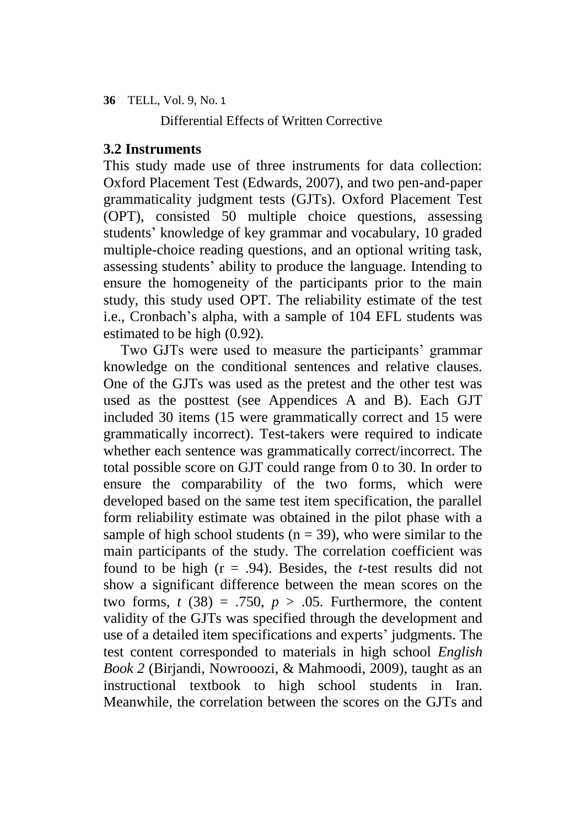Differential Effects of Written Corrective

# **3.2 Instruments**

This study made use of three instruments for data collection: Oxford Placement Test (Edwards, 2007), and two pen-and-paper grammaticality judgment tests (GJTs). Oxford Placement Test (OPT), consisted 50 multiple choice questions, assessing students' knowledge of key grammar and vocabulary, 10 graded multiple-choice reading questions, and an optional writing task, assessing students' ability to produce the language. Intending to ensure the homogeneity of the participants prior to the main study, this study used OPT. The reliability estimate of the test i.e., Cronbach's alpha, with a sample of 104 EFL students was estimated to be high (0.92).

Two GJTs were used to measure the participants' grammar knowledge on the conditional sentences and relative clauses. One of the GJTs was used as the pretest and the other test was used as the posttest (see Appendices A and B). Each GJT included 30 items (15 were grammatically correct and 15 were grammatically incorrect). Test-takers were required to indicate whether each sentence was grammatically correct/incorrect. The total possible score on GJT could range from 0 to 30. In order to ensure the comparability of the two forms, which were developed based on the same test item specification, the parallel form reliability estimate was obtained in the pilot phase with a sample of high school students ( $n = 39$ ), who were similar to the main participants of the study. The correlation coefficient was found to be high (r = .94). Besides, the *t*-test results did not show a significant difference between the mean scores on the two forms,  $t$  (38) = .750,  $p > .05$ . Furthermore, the content validity of the GJTs was specified through the development and use of a detailed item specifications and experts' judgments. The test content corresponded to materials in high school *English Book 2* (Birjandi, Nowrooozi, & Mahmoodi, 2009), taught as an instructional textbook to high school students in Iran. Meanwhile, the correlation between the scores on the GJTs and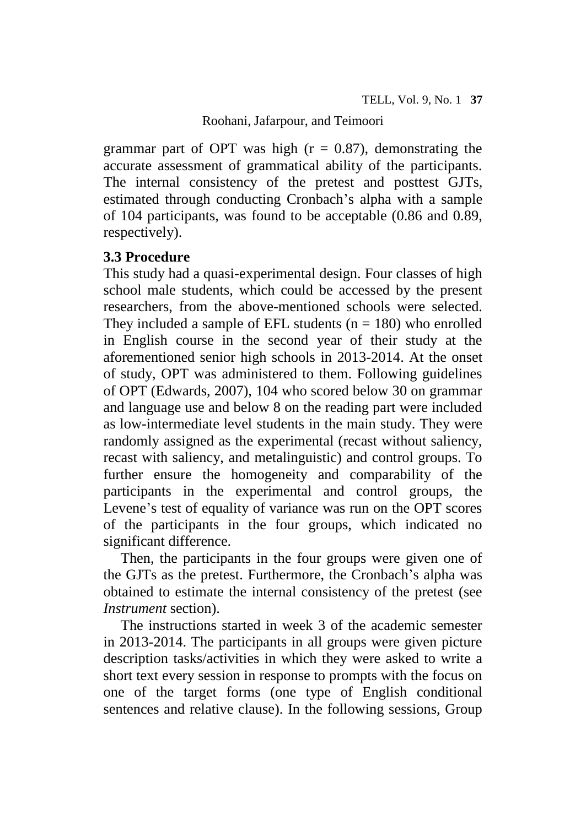grammar part of OPT was high  $(r = 0.87)$ , demonstrating the accurate assessment of grammatical ability of the participants. The internal consistency of the pretest and posttest GJTs, estimated through conducting Cronbach's alpha with a sample of 104 participants, was found to be acceptable (0.86 and 0.89, respectively).

# **3.3 Procedure**

This study had a quasi-experimental design. Four classes of high school male students, which could be accessed by the present researchers, from the above-mentioned schools were selected. They included a sample of EFL students  $(n = 180)$  who enrolled in English course in the second year of their study at the aforementioned senior high schools in 2013-2014. At the onset of study, OPT was administered to them. Following guidelines of OPT (Edwards, 2007), 104 who scored below 30 on grammar and language use and below 8 on the reading part were included as low-intermediate level students in the main study. They were randomly assigned as the experimental (recast without saliency, recast with saliency, and metalinguistic) and control groups. To further ensure the homogeneity and comparability of the participants in the experimental and control groups, the Levene's test of equality of variance was run on the OPT scores of the participants in the four groups, which indicated no significant difference.

Then, the participants in the four groups were given one of the GJTs as the pretest. Furthermore, the Cronbach's alpha was obtained to estimate the internal consistency of the pretest (see *Instrument* section).

The instructions started in week 3 of the academic semester in 2013-2014. The participants in all groups were given picture description tasks/activities in which they were asked to write a short text every session in response to prompts with the focus on one of the target forms (one type of English conditional sentences and relative clause). In the following sessions, Group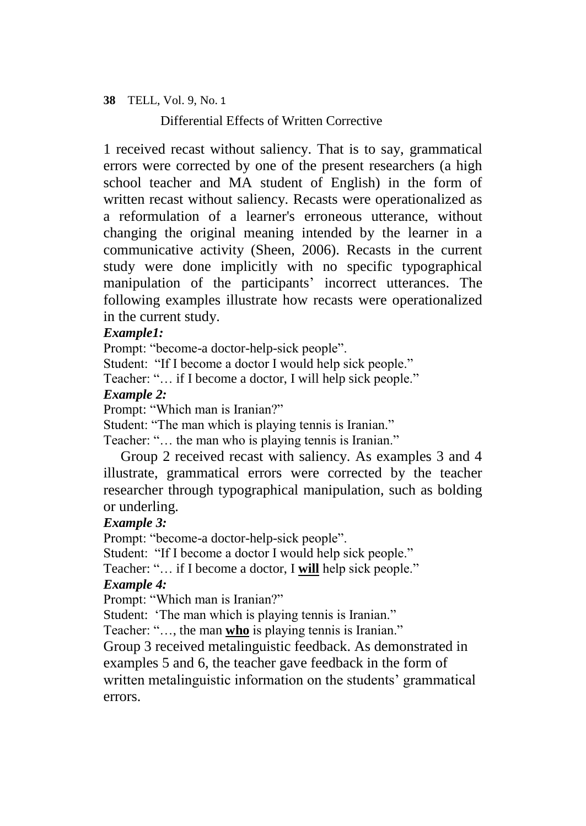Differential Effects of Written Corrective

1 received recast without saliency. That is to say, grammatical errors were corrected by one of the present researchers (a high school teacher and MA student of English) in the form of written recast without saliency. Recasts were operationalized as a reformulation of a learner's erroneous utterance, without changing the original meaning intended by the learner in a communicative activity (Sheen, 2006). Recasts in the current study were done implicitly with no specific typographical manipulation of the participants' incorrect utterances. The following examples illustrate how recasts were operationalized in the current study.

# *Example1:*

Prompt: "become-a doctor-help-sick people".

Student: "If I become a doctor I would help sick people."

Teacher: "… if I become a doctor, I will help sick people."

# *Example 2:*

Prompt: "Which man is Iranian?"

Student: "The man which is playing tennis is Iranian."

Teacher: "… the man who is playing tennis is Iranian."

Group 2 received recast with saliency. As examples 3 and 4 illustrate, grammatical errors were corrected by the teacher researcher through typographical manipulation, such as bolding or underling.

# *Example 3:*

Prompt: "become-a doctor-help-sick people".

Student: "If I become a doctor I would help sick people."

Teacher: "… if I become a doctor, I **will** help sick people."

# *Example 4:*

Prompt: "Which man is Iranian?"

Student: 'The man which is playing tennis is Iranian."

Teacher: "…, the man **who** is playing tennis is Iranian."

Group 3 received metalinguistic feedback. As demonstrated in examples 5 and 6, the teacher gave feedback in the form of written metalinguistic information on the students' grammatical errors.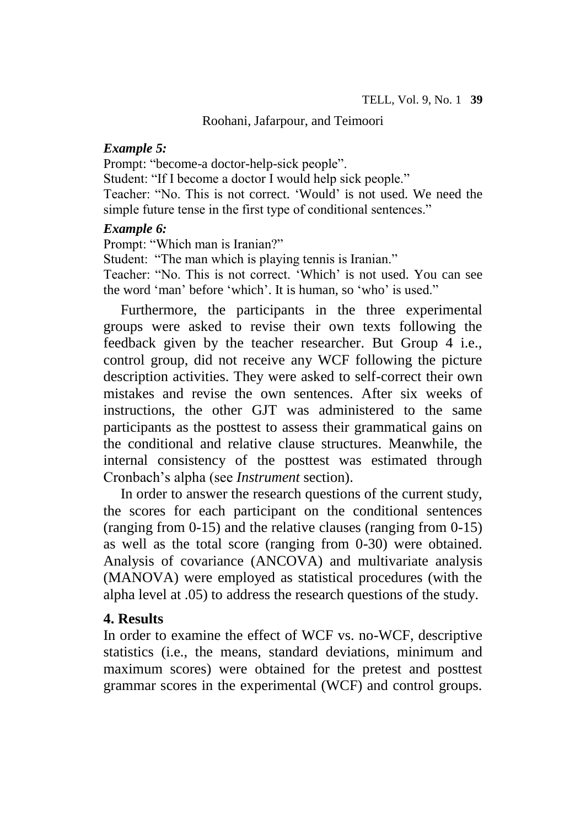#### *Example 5:*

Prompt: "become-a doctor-help-sick people".

Student: "If I become a doctor I would help sick people."

Teacher: "No. This is not correct. 'Would' is not used. We need the simple future tense in the first type of conditional sentences."

#### *Example 6:*

Prompt: "Which man is Iranian?"

Student: "The man which is playing tennis is Iranian."

Teacher: "No. This is not correct. 'Which' is not used. You can see the word 'man' before 'which'. It is human, so 'who' is used."

Furthermore, the participants in the three experimental groups were asked to revise their own texts following the feedback given by the teacher researcher. But Group 4 i.e., control group, did not receive any WCF following the picture description activities. They were asked to self-correct their own mistakes and revise the own sentences. After six weeks of instructions, the other GJT was administered to the same participants as the posttest to assess their grammatical gains on the conditional and relative clause structures. Meanwhile, the internal consistency of the posttest was estimated through Cronbach's alpha (see *Instrument* section).

In order to answer the research questions of the current study, the scores for each participant on the conditional sentences (ranging from 0-15) and the relative clauses (ranging from 0-15) as well as the total score (ranging from 0-30) were obtained. Analysis of covariance (ANCOVA) and multivariate analysis (MANOVA) were employed as statistical procedures (with the alpha level at .05) to address the research questions of the study.

# **4. Results**

In order to examine the effect of WCF vs. no-WCF, descriptive statistics (i.e., the means, standard deviations, minimum and maximum scores) were obtained for the pretest and posttest grammar scores in the experimental (WCF) and control groups.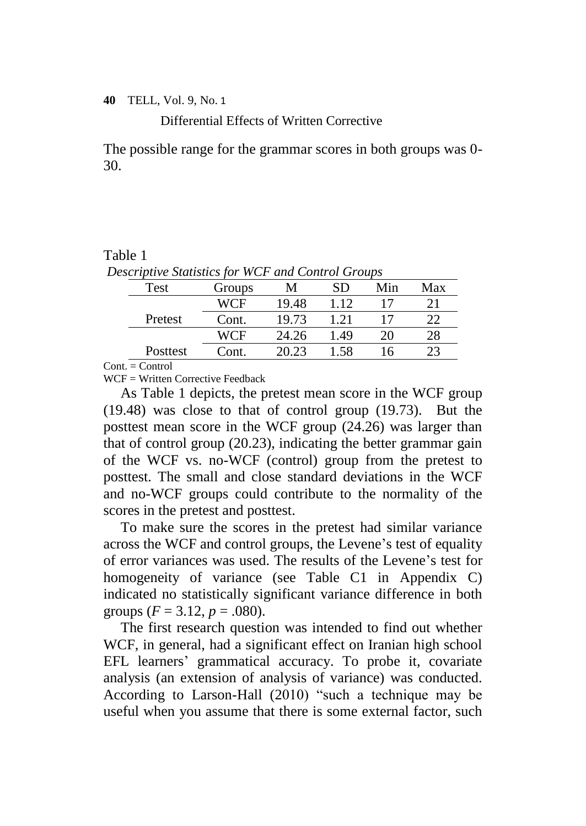Differential Effects of Written Corrective

The possible range for the grammar scores in both groups was 0- 30.

#### Table 1

| Descriptive Statistics for WCF and Control Groups |        |       |      |     |     |  |  |  |
|---------------------------------------------------|--------|-------|------|-----|-----|--|--|--|
| Test                                              | Groups | М     | SD   | Min | Max |  |  |  |
|                                                   | WCF    | 19.48 | 1.12 |     | 21  |  |  |  |
| Pretest                                           | Cont.  | 19.73 | 1.21 |     | 22  |  |  |  |
|                                                   | WCF    | 24.26 | 1.49 | 20  | 28  |  |  |  |
| Posttest                                          | Cont.  | 20.23 | 1.58 | 16  | 23  |  |  |  |

*Descriptive Statistics for WCF and Control Groups*

 $Cont. = Control$ 

 $WCF = Written$  Corrective Feedback

As Table 1 depicts, the pretest mean score in the WCF group (19.48) was close to that of control group (19.73). But the posttest mean score in the WCF group (24.26) was larger than that of control group (20.23), indicating the better grammar gain of the WCF vs. no-WCF (control) group from the pretest to posttest. The small and close standard deviations in the WCF and no-WCF groups could contribute to the normality of the scores in the pretest and posttest.

To make sure the scores in the pretest had similar variance across the WCF and control groups, the Levene's test of equality of error variances was used. The results of the Levene's test for homogeneity of variance (see Table C1 in Appendix C) indicated no statistically significant variance difference in both groups  $(F = 3.12, p = .080)$ .

The first research question was intended to find out whether WCF, in general, had a significant effect on Iranian high school EFL learners' grammatical accuracy. To probe it, covariate analysis (an extension of analysis of variance) was conducted. According to Larson-Hall (2010) "such a technique may be useful when you assume that there is some external factor, such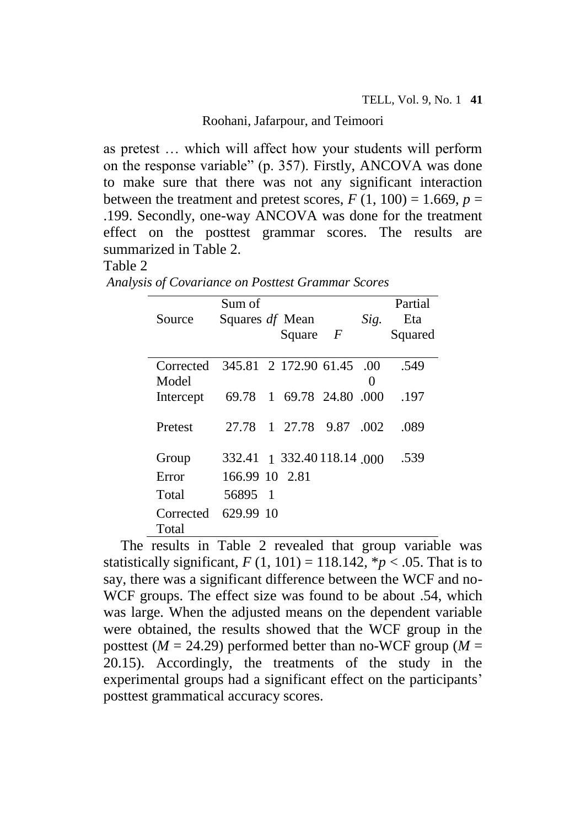as pretest … which will affect how your students will perform on the response variable" (p. 357). Firstly, ANCOVA was done to make sure that there was not any significant interaction between the treatment and pretest scores,  $F(1, 100) = 1.669$ ,  $p =$ .199. Secondly, one-way ANCOVA was done for the treatment effect on the posttest grammar scores. The results are summarized in Table 2.

# Table 2

|                    | Sum of          |                            |          | Partial |
|--------------------|-----------------|----------------------------|----------|---------|
| Source             | Squares df Mean |                            | Sig.     | Eta     |
|                    |                 | Square $F$                 |          | Squared |
| Corrected<br>Model |                 | 345.81 2 172.90 61.45 .00  | $\Omega$ | .549    |
| Intercept          | 69.78           | 1 69.78 24.80 .000         |          | .197    |
| Pretest            |                 | 27.78 1 27.78 9.87         | .002     | .089    |
| Group              |                 | 332.41 1 332.40 118.14 000 |          | .539    |
| Error              | 166.99 10 2.81  |                            |          |         |
| Total              | 56895 1         |                            |          |         |
| Corrected<br>Total | 629.99 10       |                            |          |         |

*Analysis of Covariance on Posttest Grammar Scores*

The results in Table 2 revealed that group variable was statistically significant,  $F(1, 101) = 118.142$ ,  $p < .05$ . That is to say, there was a significant difference between the WCF and no-WCF groups. The effect size was found to be about .54, which was large. When the adjusted means on the dependent variable were obtained, the results showed that the WCF group in the posttest ( $M = 24.29$ ) performed better than no-WCF group ( $M =$ 20.15). Accordingly, the treatments of the study in the experimental groups had a significant effect on the participants' posttest grammatical accuracy scores.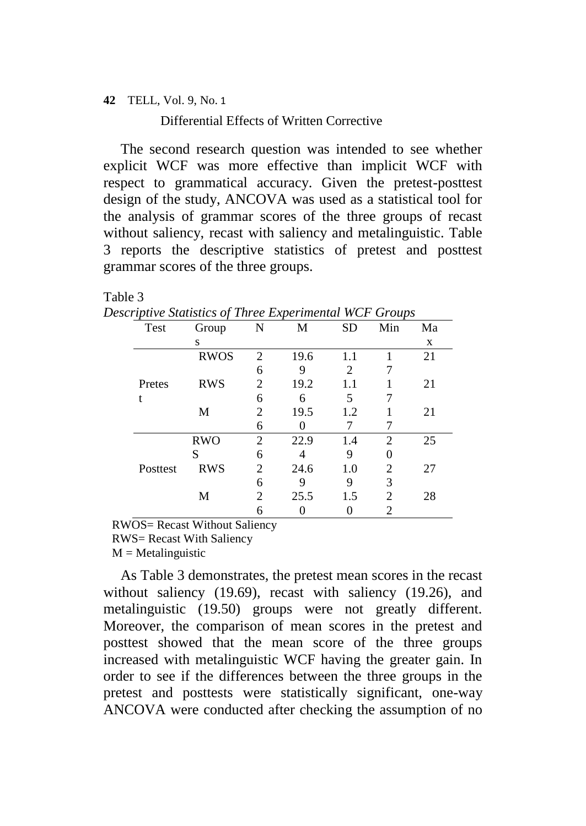Differential Effects of Written Corrective

The second research question was intended to see whether explicit WCF was more effective than implicit WCF with respect to grammatical accuracy. Given the pretest-posttest design of the study, ANCOVA was used as a statistical tool for the analysis of grammar scores of the three groups of recast without saliency, recast with saliency and metalinguistic. Table 3 reports the descriptive statistics of pretest and posttest grammar scores of the three groups.

## Table 3

*Descriptive Statistics of Three Experimental WCF Groups*

| Test     | Group       | N                           | М    | <b>SD</b> | Min            | Ma |
|----------|-------------|-----------------------------|------|-----------|----------------|----|
|          | S           |                             |      |           |                | X  |
|          | <b>RWOS</b> | 2                           | 19.6 | 1.1       |                | 21 |
|          |             | 6                           | 9    | 2         |                |    |
| Pretes   | <b>RWS</b>  | 2                           | 19.2 | 1.1       |                | 21 |
| t        |             | 6                           | 6    | 5         |                |    |
|          | М           | 2                           | 19.5 | 1.2       |                | 21 |
|          |             | 6                           |      |           |                |    |
|          | <b>RWO</b>  | 2                           | 22.9 | 1.4       | $\mathfrak{D}$ | 25 |
|          | S           | 6                           |      | 9         |                |    |
| Posttest | <b>RWS</b>  | $\mathcal{D}_{\mathcal{L}}$ | 24.6 | 1.0       | 2              | 27 |
|          |             | 6                           | 9    | 9         | 3              |    |
|          | M           | $\mathfrak{D}$              | 25.5 | 1.5       | $\mathfrak{D}$ | 28 |
|          |             | 6                           |      |           | 2              |    |

RWOS= Recast Without Saliency

RWS= Recast With Saliency

 $M = Metalinguistic$ 

As Table 3 demonstrates, the pretest mean scores in the recast without saliency (19.69), recast with saliency (19.26), and metalinguistic (19.50) groups were not greatly different. Moreover, the comparison of mean scores in the pretest and posttest showed that the mean score of the three groups increased with metalinguistic WCF having the greater gain. In order to see if the differences between the three groups in the pretest and posttests were statistically significant, one-way ANCOVA were conducted after checking the assumption of no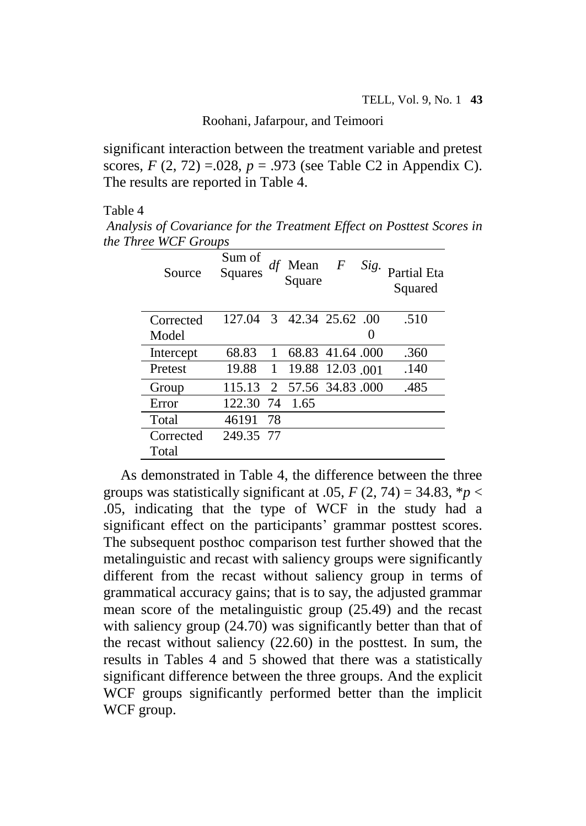significant interaction between the treatment variable and pretest scores,  $F(2, 72) = 0.028$ ,  $p = 0.973$  (see Table C2 in Appendix C). The results are reported in Table 4.

Table 4

*Analysis of Covariance for the Treatment Effect on Posttest Scores in the Three WCF Groups*

| Source    | Sum of<br><b>Squares</b> |    | Mean<br>Square    | F | Sig. | <b>Partial Eta</b><br>Squared |
|-----------|--------------------------|----|-------------------|---|------|-------------------------------|
| Corrected | 127.04                   |    | 3 42.34 25.62 .00 |   |      | .510                          |
| Model     |                          |    |                   |   |      |                               |
| Intercept | 68.83                    | 1  | 68.83 41.64 .000  |   |      | .360                          |
| Pretest   | 19.88                    | 1  | 19.88 12.03 001   |   |      | .140                          |
| Group     | 115.13                   | 2  | 57.56 34.83.000   |   |      | .485                          |
| Error     | 122.30                   | 74 | 1.65              |   |      |                               |
| Total     | 46191                    | 78 |                   |   |      |                               |
| Corrected | 249.35 77                |    |                   |   |      |                               |
| Total     |                          |    |                   |   |      |                               |

As demonstrated in Table 4, the difference between the three groups was statistically significant at .05,  $F(2, 74) = 34.83$ ,  $p \lt 1$ .05, indicating that the type of WCF in the study had a significant effect on the participants' grammar posttest scores. The subsequent posthoc comparison test further showed that the metalinguistic and recast with saliency groups were significantly different from the recast without saliency group in terms of grammatical accuracy gains; that is to say, the adjusted grammar mean score of the metalinguistic group (25.49) and the recast with saliency group (24.70) was significantly better than that of the recast without saliency (22.60) in the posttest. In sum, the results in Tables 4 and 5 showed that there was a statistically significant difference between the three groups. And the explicit WCF groups significantly performed better than the implicit WCF group.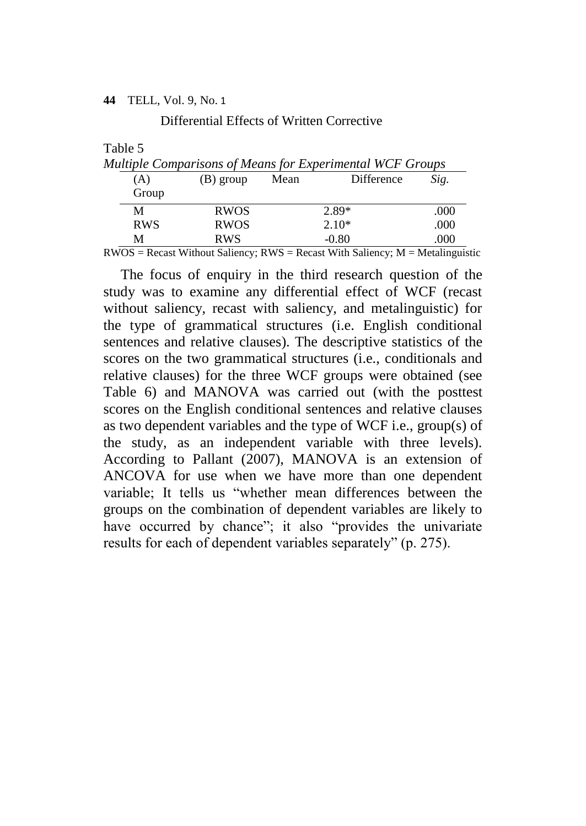Differential Effects of Written Corrective

Table 5

| Multiple Comparisons of Means for Experimental WCF Groups |             |      |            |      |  |  |  |  |  |  |
|-----------------------------------------------------------|-------------|------|------------|------|--|--|--|--|--|--|
| (A)                                                       | (B) group   | Mean | Difference | Sig. |  |  |  |  |  |  |
| Group                                                     |             |      |            |      |  |  |  |  |  |  |
| M                                                         | <b>RWOS</b> |      | $2.89*$    | .000 |  |  |  |  |  |  |
| <b>RWS</b>                                                | <b>RWOS</b> |      | $2.10*$    | .000 |  |  |  |  |  |  |
| М                                                         | <b>RWS</b>  |      | $-0.80$    | .000 |  |  |  |  |  |  |

 $RWOS =$  Recast Without Saliency;  $RWS =$  Recast With Saliency;  $M =$  Metalinguistic

The focus of enquiry in the third research question of the study was to examine any differential effect of WCF (recast without saliency, recast with saliency, and metalinguistic) for the type of grammatical structures (i.e. English conditional sentences and relative clauses). The descriptive statistics of the scores on the two grammatical structures (i.e., conditionals and relative clauses) for the three WCF groups were obtained (see Table 6) and MANOVA was carried out (with the posttest scores on the English conditional sentences and relative clauses as two dependent variables and the type of WCF i.e., group(s) of the study, as an independent variable with three levels). According to Pallant (2007), MANOVA is an extension of ANCOVA for use when we have more than one dependent variable; It tells us "whether mean differences between the groups on the combination of dependent variables are likely to have occurred by chance"; it also "provides the univariate results for each of dependent variables separately" (p. 275).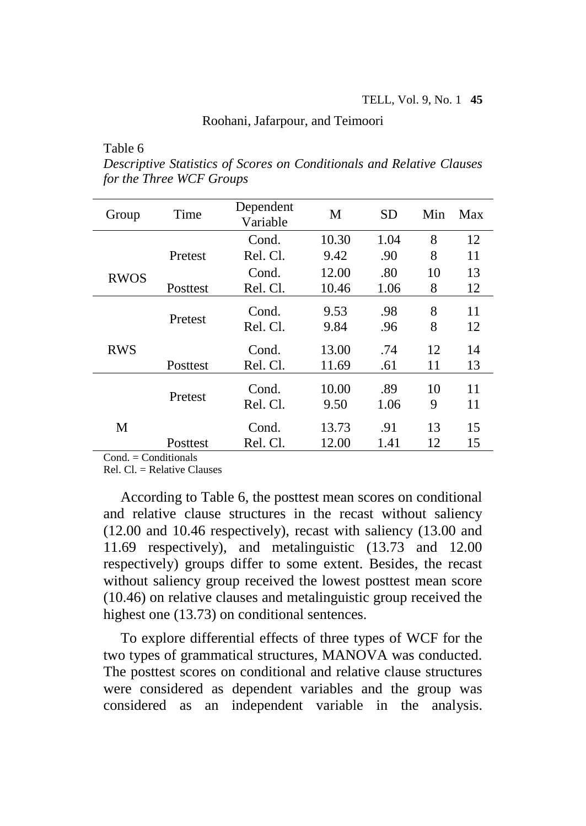Table 6

| Descriptive Statistics of Scores on Conditionals and Relative Clauses |  |  |  |
|-----------------------------------------------------------------------|--|--|--|
| for the Three WCF Groups                                              |  |  |  |

| Group       | Time     | Dependent<br>Variable | M             | <b>SD</b>   | Min     | Max      |
|-------------|----------|-----------------------|---------------|-------------|---------|----------|
|             |          | Cond.                 | 10.30         | 1.04        | 8       | 12       |
|             | Pretest  | Rel. Cl.              | 9.42          | .90         | 8       | 11       |
| <b>RWOS</b> |          | Cond.                 | 12.00         | .80         | 10      | 13       |
|             | Posttest | Rel. Cl.              | 10.46         | 1.06        | 8       | 12       |
|             | Pretest  | Cond.<br>Rel. Cl.     | 9.53<br>9.84  | .98<br>.96  | 8<br>8  | 11<br>12 |
| <b>RWS</b>  |          | Cond.                 | 13.00         | .74         | 12      | 14       |
|             | Posttest | Rel. Cl.              | 11.69         | .61         | 11      | 13       |
|             | Pretest  | Cond.<br>Rel. Cl.     | 10.00<br>9.50 | .89<br>1.06 | 10<br>9 | 11<br>11 |
| M           |          | Cond.                 | 13.73         | .91         | 13      | 15       |
|             | Posttest | Rel. Cl.              | 12.00         | 1.41        | 12      | 15       |

 $Cond = Conditionals$ 

 $Rel.$  Cl.  $=$  Relative Clauses

According to Table 6, the posttest mean scores on conditional and relative clause structures in the recast without saliency (12.00 and 10.46 respectively), recast with saliency (13.00 and 11.69 respectively), and metalinguistic (13.73 and 12.00 respectively) groups differ to some extent. Besides, the recast without saliency group received the lowest posttest mean score (10.46) on relative clauses and metalinguistic group received the highest one (13.73) on conditional sentences.

To explore differential effects of three types of WCF for the two types of grammatical structures, MANOVA was conducted. The posttest scores on conditional and relative clause structures were considered as dependent variables and the group was considered as an independent variable in the analysis.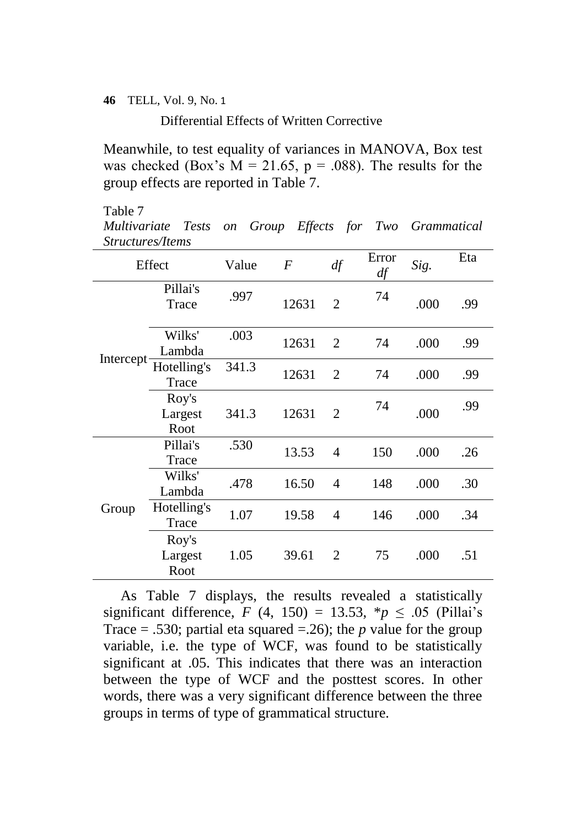Differential Effects of Written Corrective

Meanwhile, to test equality of variances in MANOVA, Box test was checked (Box's  $M = 21.65$ ,  $p = .088$ ). The results for the group effects are reported in Table 7.

#### Table 7

*Multivariate Tests on Group Effects for Two Grammatical Structures/Items*

|           | Effect                   | Value | $\boldsymbol{F}$ | df             | Error<br>df | Sig. | Eta |
|-----------|--------------------------|-------|------------------|----------------|-------------|------|-----|
|           | Pillai's<br>Trace        | .997  | 12631            | $\overline{2}$ | 74          | .000 | .99 |
|           | Wilks'<br>Lambda         | .003  | 12631            | 2              | 74          | .000 | .99 |
| Intercept | Hotelling's<br>Trace     | 341.3 | 12631            | $\overline{2}$ | 74          | .000 | .99 |
|           | Roy's<br>Largest<br>Root | 341.3 | 12631            | $\overline{2}$ | 74          | .000 | .99 |
|           | Pillai's<br>Trace        | .530  | 13.53            | 4              | 150         | .000 | .26 |
|           | Wilks'<br>Lambda         | .478  | 16.50            | 4              | 148         | .000 | .30 |
| Group     | Hotelling's<br>Trace     | 1.07  | 19.58            | 4              | 146         | .000 | .34 |
|           | Roy's<br>Largest<br>Root | 1.05  | 39.61            | 2              | 75          | .000 | .51 |

As Table 7 displays, the results revealed a statistically significant difference,  $F(4, 150) = 13.53$ ,  $* p \le .05$  (Pillai's Trace = .530; partial eta squared = .26); the *p* value for the group variable, i.e. the type of WCF, was found to be statistically significant at .05. This indicates that there was an interaction between the type of WCF and the posttest scores. In other words, there was a very significant difference between the three groups in terms of type of grammatical structure.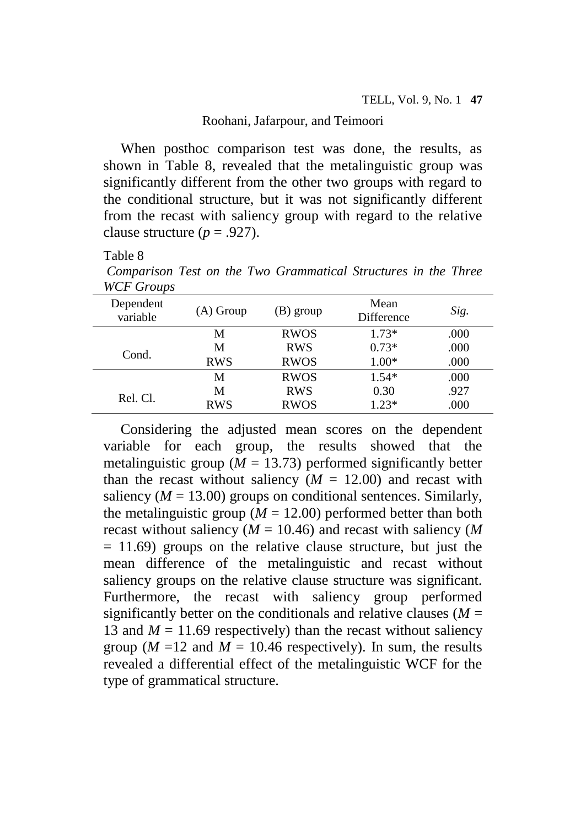When posthoc comparison test was done, the results, as shown in Table 8, revealed that the metalinguistic group was significantly different from the other two groups with regard to the conditional structure, but it was not significantly different from the recast with saliency group with regard to the relative clause structure  $(p = .927)$ .

## Table 8

*Comparison Test on the Two Grammatical Structures in the Three WCF Groups*

| Dependent<br>variable | $(A)$ Group | (B) group   | Mean<br>Difference | Sig. |
|-----------------------|-------------|-------------|--------------------|------|
|                       | М           | <b>RWOS</b> | $1.73*$            | .000 |
| Cond.                 | M           | <b>RWS</b>  | $0.73*$            | .000 |
|                       | <b>RWS</b>  | <b>RWOS</b> | $1.00*$            | .000 |
|                       | М           | <b>RWOS</b> | $1.54*$            | .000 |
|                       | М           | <b>RWS</b>  | 0.30               | .927 |
| Rel. Cl.              | <b>RWS</b>  | <b>RWOS</b> | $1.23*$            | .000 |

Considering the adjusted mean scores on the dependent variable for each group, the results showed that the metalinguistic group ( $M = 13.73$ ) performed significantly better than the recast without saliency  $(M = 12.00)$  and recast with saliency  $(M = 13.00)$  groups on conditional sentences. Similarly, the metalinguistic group  $(M = 12.00)$  performed better than both recast without saliency (*M* = 10.46) and recast with saliency (*M*  $= 11.69$ ) groups on the relative clause structure, but just the mean difference of the metalinguistic and recast without saliency groups on the relative clause structure was significant. Furthermore, the recast with saliency group performed significantly better on the conditionals and relative clauses  $(M =$ 13 and  $M = 11.69$  respectively) than the recast without saliency group ( $M = 12$  and  $M = 10.46$  respectively). In sum, the results revealed a differential effect of the metalinguistic WCF for the type of grammatical structure.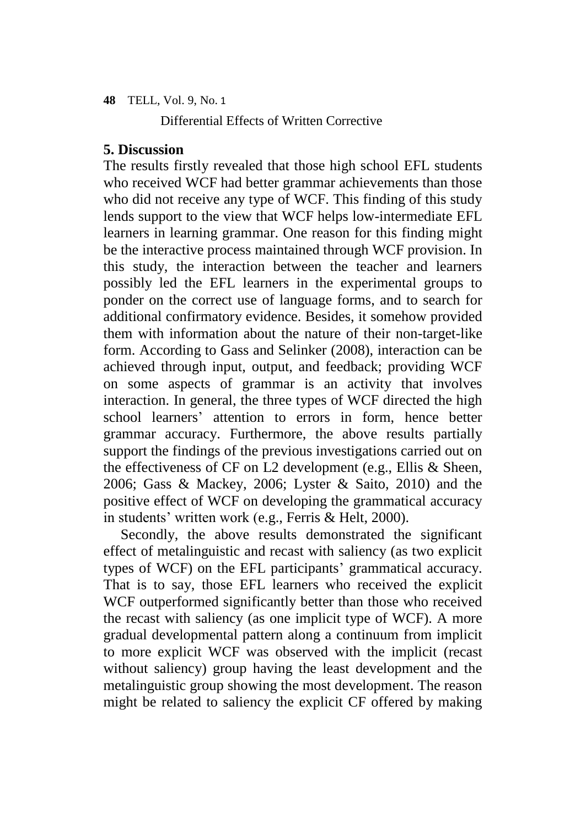Differential Effects of Written Corrective

# **5. Discussion**

The results firstly revealed that those high school EFL students who received WCF had better grammar achievements than those who did not receive any type of WCF. This finding of this study lends support to the view that WCF helps low-intermediate EFL learners in learning grammar. One reason for this finding might be the interactive process maintained through WCF provision. In this study, the interaction between the teacher and learners possibly led the EFL learners in the experimental groups to ponder on the correct use of language forms, and to search for additional confirmatory evidence. Besides, it somehow provided them with information about the nature of their non-target-like form. According to Gass and Selinker (2008), interaction can be achieved through input, output, and feedback; providing WCF on some aspects of grammar is an activity that involves interaction. In general, the three types of WCF directed the high school learners' attention to errors in form, hence better grammar accuracy. Furthermore, the above results partially support the findings of the previous investigations carried out on the effectiveness of CF on L2 development (e.g., Ellis & Sheen, 2006; Gass & Mackey, 2006; Lyster & Saito, 2010) and the positive effect of WCF on developing the grammatical accuracy in students' written work (e.g., Ferris & Helt, 2000).

Secondly, the above results demonstrated the significant effect of metalinguistic and recast with saliency (as two explicit types of WCF) on the EFL participants' grammatical accuracy. That is to say, those EFL learners who received the explicit WCF outperformed significantly better than those who received the recast with saliency (as one implicit type of WCF). A more gradual developmental pattern along a continuum from implicit to more explicit WCF was observed with the implicit (recast without saliency) group having the least development and the metalinguistic group showing the most development. The reason might be related to saliency the explicit CF offered by making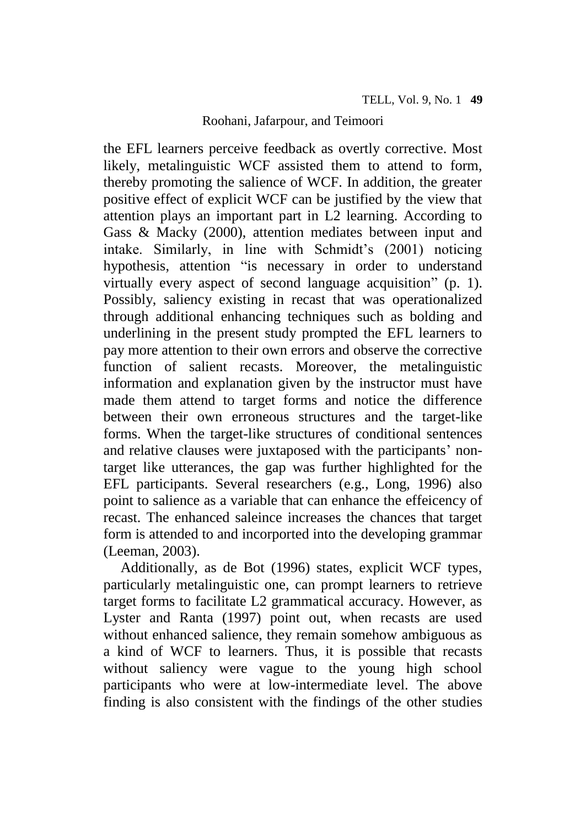the EFL learners perceive feedback as overtly corrective. Most likely, metalinguistic WCF assisted them to attend to form, thereby promoting the salience of WCF. In addition, the greater positive effect of explicit WCF can be justified by the view that attention plays an important part in L2 learning. According to Gass & Macky (2000), attention mediates between input and intake. Similarly, in line with Schmidt's (2001) noticing hypothesis, attention "is necessary in order to understand virtually every aspect of second language acquisition" (p. 1). Possibly, saliency existing in recast that was operationalized through additional enhancing techniques such as bolding and underlining in the present study prompted the EFL learners to pay more attention to their own errors and observe the corrective function of salient recasts. Moreover, the metalinguistic information and explanation given by the instructor must have made them attend to target forms and notice the difference between their own erroneous structures and the target-like forms. When the target-like structures of conditional sentences and relative clauses were juxtaposed with the participants' nontarget like utterances, the gap was further highlighted for the EFL participants. Several researchers (e.g., Long, 1996) also point to salience as a variable that can enhance the effeicency of recast. The enhanced saleince increases the chances that target form is attended to and incorported into the developing grammar (Leeman, 2003).

Additionally, as de Bot (1996) states, explicit WCF types, particularly metalinguistic one, can prompt learners to retrieve target forms to facilitate L2 grammatical accuracy. However, as Lyster and Ranta (1997) point out, when recasts are used without enhanced salience, they remain somehow ambiguous as a kind of WCF to learners. Thus, it is possible that recasts without saliency were vague to the young high school participants who were at low-intermediate level. The above finding is also consistent with the findings of the other studies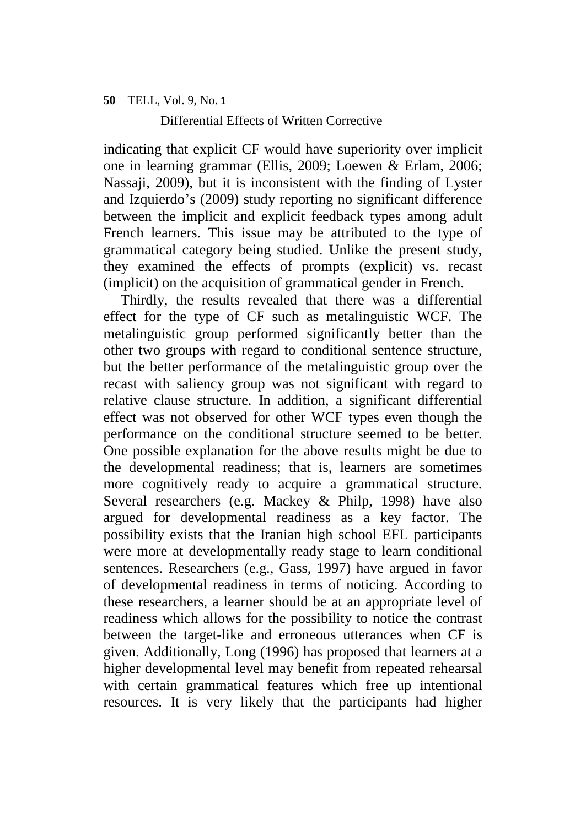Differential Effects of Written Corrective

indicating that explicit CF would have superiority over implicit one in learning grammar (Ellis, 2009; Loewen & Erlam, 2006; Nassaji, 2009), but it is inconsistent with the finding of Lyster and Izquierdo's (2009) study reporting no significant difference between the implicit and explicit feedback types among adult French learners. This issue may be attributed to the type of grammatical category being studied. Unlike the present study, they examined the effects of prompts (explicit) vs. recast (implicit) on the acquisition of grammatical gender in French.

Thirdly, the results revealed that there was a differential effect for the type of CF such as metalinguistic WCF. The metalinguistic group performed significantly better than the other two groups with regard to conditional sentence structure, but the better performance of the metalinguistic group over the recast with saliency group was not significant with regard to relative clause structure. In addition, a significant differential effect was not observed for other WCF types even though the performance on the conditional structure seemed to be better. One possible explanation for the above results might be due to the developmental readiness; that is, learners are sometimes more cognitively ready to acquire a grammatical structure. Several researchers (e.g. Mackey & Philp, 1998) have also argued for developmental readiness as a key factor. The possibility exists that the Iranian high school EFL participants were more at developmentally ready stage to learn conditional sentences. Researchers (e.g., Gass, 1997) have argued in favor of developmental readiness in terms of noticing. According to these researchers, a learner should be at an appropriate level of readiness which allows for the possibility to notice the contrast between the target-like and erroneous utterances when CF is given. Additionally, Long (1996) has proposed that learners at a higher developmental level may benefit from repeated rehearsal with certain grammatical features which free up intentional resources. It is very likely that the participants had higher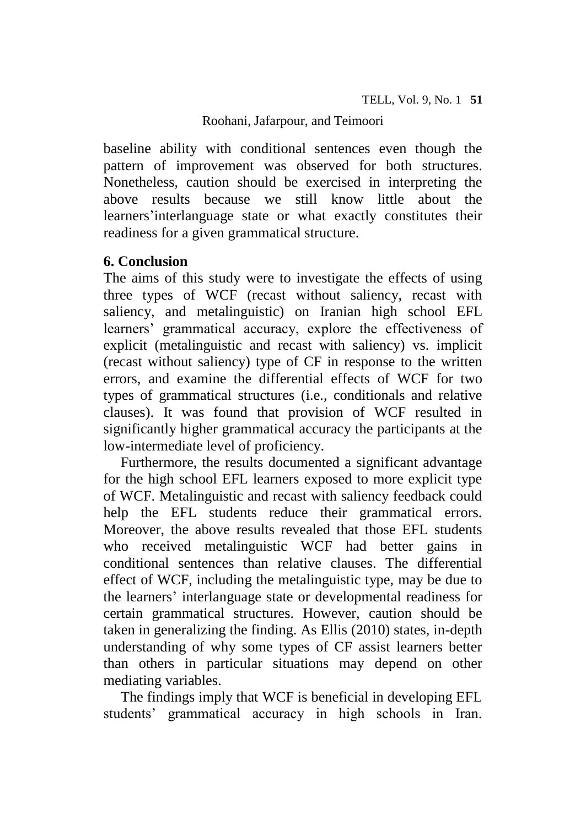baseline ability with conditional sentences even though the pattern of improvement was observed for both structures. Nonetheless, caution should be exercised in interpreting the above results because we still know little about the learners'interlanguage state or what exactly constitutes their readiness for a given grammatical structure.

# **6. Conclusion**

The aims of this study were to investigate the effects of using three types of WCF (recast without saliency, recast with saliency, and metalinguistic) on Iranian high school EFL learners' grammatical accuracy, explore the effectiveness of explicit (metalinguistic and recast with saliency) vs. implicit (recast without saliency) type of CF in response to the written errors, and examine the differential effects of WCF for two types of grammatical structures (i.e., conditionals and relative clauses). It was found that provision of WCF resulted in significantly higher grammatical accuracy the participants at the low-intermediate level of proficiency.

Furthermore, the results documented a significant advantage for the high school EFL learners exposed to more explicit type of WCF. Metalinguistic and recast with saliency feedback could help the EFL students reduce their grammatical errors. Moreover, the above results revealed that those EFL students who received metalinguistic WCF had better gains in conditional sentences than relative clauses. The differential effect of WCF, including the metalinguistic type, may be due to the learners' interlanguage state or developmental readiness for certain grammatical structures. However, caution should be taken in generalizing the finding. As Ellis (2010) states, in-depth understanding of why some types of CF assist learners better than others in particular situations may depend on other mediating variables.

The findings imply that WCF is beneficial in developing EFL students' grammatical accuracy in high schools in Iran.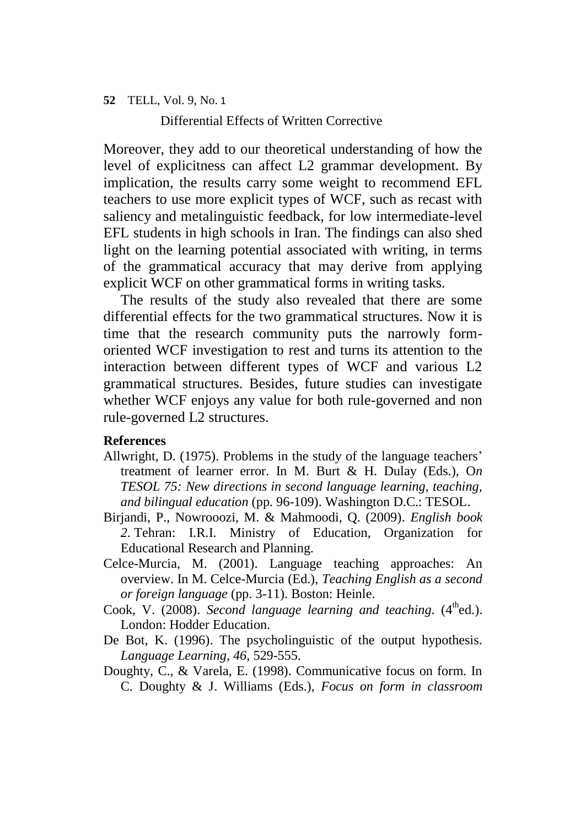Differential Effects of Written Corrective

Moreover, they add to our theoretical understanding of how the level of explicitness can affect L2 grammar development. By implication, the results carry some weight to recommend EFL teachers to use more explicit types of WCF, such as recast with saliency and metalinguistic feedback, for low intermediate-level EFL students in high schools in Iran. The findings can also shed light on the learning potential associated with writing, in terms of the grammatical accuracy that may derive from applying explicit WCF on other grammatical forms in writing tasks.

The results of the study also revealed that there are some differential effects for the two grammatical structures. Now it is time that the research community puts the narrowly formoriented WCF investigation to rest and turns its attention to the interaction between different types of WCF and various L2 grammatical structures. Besides, future studies can investigate whether WCF enjoys any value for both rule-governed and non rule-governed L2 structures.

## **References**

- Allwright, D. (1975). Problems in the study of the language teachers' treatment of learner error. In M. Burt & H. Dulay (Eds.), O*n TESOL 75: New directions in second language learning, teaching, and bilingual education* (pp. 96-109). Washington D.C.: TESOL.
- Birjandi, P., Nowrooozi, M. & Mahmoodi, Q. (2009). *English book 2*. Tehran: I.R.I. Ministry of Education, Organization for Educational Research and Planning.
- Celce-Murcia, M. (2001). Language teaching approaches: An overview. In M. Celce-Murcia (Ed.), *Teaching English as a second or foreign language* (pp. 3-11). Boston: Heinle.
- Cook, V. (2008). *Second language learning and teaching*. (4<sup>th</sup>ed.). London: Hodder Education.
- De Bot, K. (1996). The psycholinguistic of the output hypothesis. *Language Learning, 46*, 529-555.
- Doughty, C., & Varela, E. (1998). Communicative focus on form. In C. Doughty & J. Williams (Eds.), *Focus on form in classroom*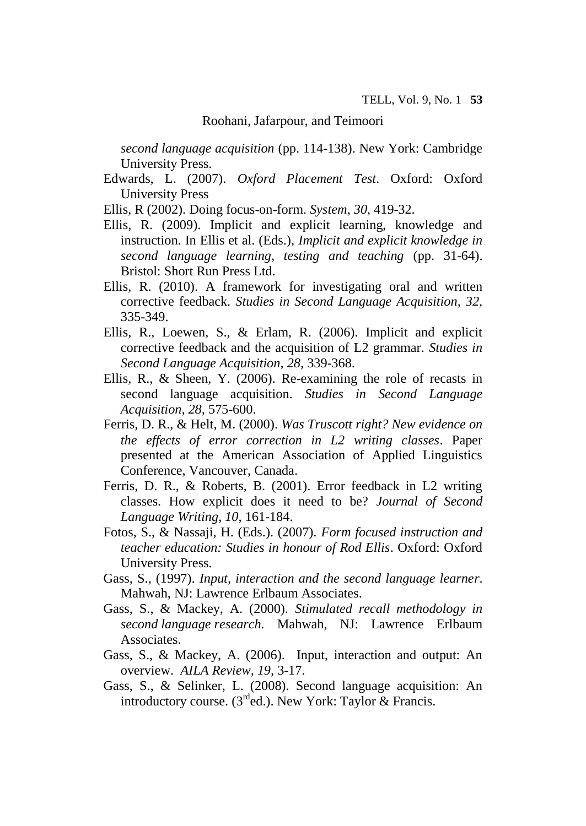*second language acquisition* (pp. 114-138). New York: Cambridge University Press.

Edwards, L. (2007). *Oxford Placement Test*. Oxford: Oxford University Press

Ellis, R (2002). Doing focus-on-form. *System*, *30*, 419-32.

- Ellis, R. (2009). Implicit and explicit learning, knowledge and instruction. In Ellis et al. (Eds.), *Implicit and explicit knowledge in second language learning, testing and teaching* (pp. 31-64). Bristol: Short Run Press Ltd.
- Ellis, R. (2010). A framework for investigating oral and written corrective feedback. *Studies in Second Language Acquisition, 32,*  335-349.
- Ellis, R., Loewen, S., & Erlam, R. (2006). Implicit and explicit corrective feedback and the acquisition of L2 grammar. *Studies in Second Language Acquisition, 28,* 339-368.
- Ellis, R., & Sheen, Y. (2006). Re-examining the role of recasts in second language acquisition. *Studies in Second Language Acquisition, 28,* 575-600.
- Ferris, D. R., & Helt, M. (2000). *Was Truscott right? New evidence on the effects of error correction in L2 writing classes*. Paper presented at the American Association of Applied Linguistics Conference, Vancouver, Canada.
- Ferris, D. R., & Roberts, B. (2001). Error feedback in L2 writing classes. How explicit does it need to be? *Journal of Second Language Writing, 10,* 161-184.
- Fotos, S., & Nassaji, H. (Eds.). (2007). *Form focused instruction and teacher education: Studies in honour of Rod Ellis*. Oxford: Oxford University Press.
- Gass, S., (1997). *Input, interaction and the second language learner*. Mahwah, NJ: Lawrence Erlbaum Associates.
- Gass, S., & Mackey, A. (2000). *Stimulated recall methodology in second language research.* Mahwah, NJ: Lawrence Erlbaum Associates.
- Gass, S., & Mackey, A. (2006). Input, interaction and output: An overview. *AILA Review, 19,* 3-17.
- Gass, S., & Selinker, L. (2008). Second language acquisition: An introductory course. ( $3<sup>rd</sup>$ ed.). New York: Taylor & Francis.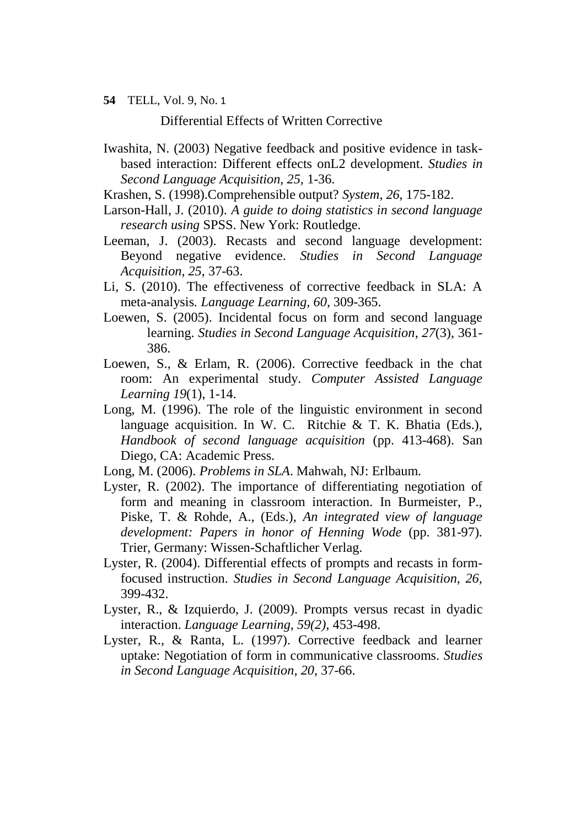Differential Effects of Written Corrective

- Iwashita, N. (2003) Negative feedback and positive evidence in taskbased interaction: Different effects onL2 development. *Studies in Second Language Acquisition, 25,* 1-36.
- Krashen, S. (1998).Comprehensible output? *System*, *26*, 175-182.
- Larson-Hall, J. (2010). *A guide to doing statistics in second language research using* SPSS. New York: Routledge.
- Leeman, J. (2003). Recasts and second language development: Beyond negative evidence. *Studies in Second Language Acquisition, 25*, 37-63.
- Li, S. (2010). The effectiveness of corrective feedback in SLA: A meta-analysis*. Language Learning, 60*, 309-365.
- Loewen, S. (2005). Incidental focus on form and second language learning. *Studies in Second Language Acquisition*, *27*(3), 361- 386.
- Loewen, S., & Erlam, R. (2006). Corrective feedback in the chat room: An experimental study. *Computer Assisted Language Learning 19*(1), 1-14.
- Long, M. (1996). The role of the linguistic environment in second language acquisition. In W. C. Ritchie & T. K. Bhatia (Eds.), *Handbook of second language acquisition* (pp. 413-468). San Diego, CA: Academic Press.
- Long, M. (2006). *Problems in SLA*. Mahwah, NJ: Erlbaum.
- Lyster, R. (2002). The importance of differentiating negotiation of form and meaning in classroom interaction. In Burmeister, P., Piske, T. & Rohde, A., (Eds.), *An integrated view of language development: Papers in honor of Henning Wode* (pp. 381-97)*.*  Trier, Germany: Wissen-Schaftlicher Verlag.
- Lyster, R. (2004). Differential effects of prompts and recasts in formfocused instruction. *Studies in Second Language Acquisition, 26,*  399-432.
- Lyster, R., & Izquierdo, J. (2009). Prompts versus recast in dyadic interaction. *Language Learning, 59(2),* 453-498.
- Lyster, R., & Ranta, L. (1997). Corrective feedback and learner uptake: Negotiation of form in communicative classrooms. *Studies in Second Language Acquisition, 20*, 37-66.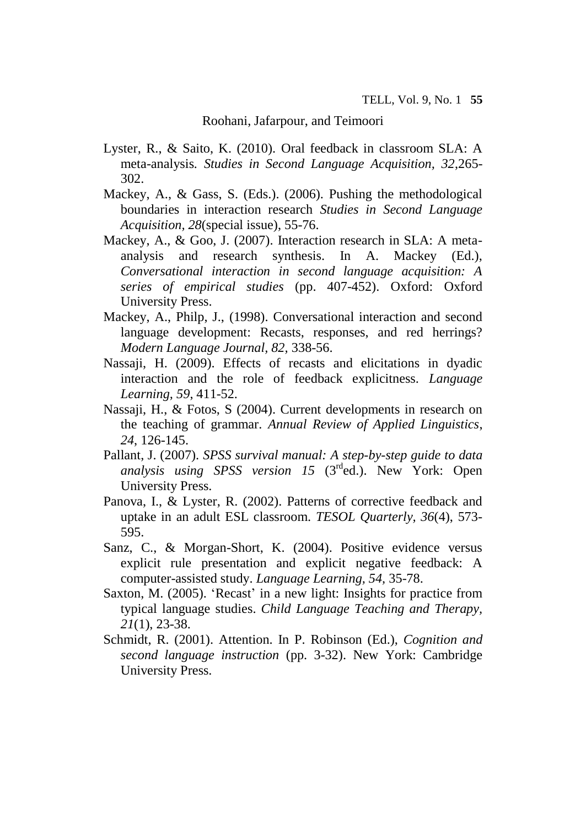- Lyster, R., & Saito, K. (2010). Oral feedback in classroom SLA: A meta-analysis*. Studies in Second Language Acquisition, 32*,265- 302.
- Mackey, A., & Gass, S. (Eds.). (2006). Pushing the methodological boundaries in interaction research *Studies in Second Language Acquisition, 28*(special issue), 55-76.
- Mackey, A., & Goo, J. (2007). Interaction research in SLA: A metaanalysis and research synthesis. In A. Mackey (Ed.), *Conversational interaction in second language acquisition: A series of empirical studies* (pp. 407-452). Oxford: Oxford University Press.
- Mackey, A., Philp, J., (1998). Conversational interaction and second language development: Recasts, responses, and red herrings? *Modern Language Journal, 82,* 338-56.
- Nassaji, H. (2009). Effects of recasts and elicitations in dyadic interaction and the role of feedback explicitness. *Language Learning, 59*, 411-52.
- Nassaji, H., & Fotos, S (2004). Current developments in research on the teaching of grammar. *Annual Review of Applied Linguistics*, *24*, 126-145.
- Pallant, J. (2007). *SPSS survival manual: A step-by-step guide to data analysis using SPSS version 15* (3rded.). New York: Open University Press.
- Panova, I., & Lyster, R. (2002). Patterns of corrective feedback and uptake in an adult ESL classroom. *TESOL Quarterly, 36*(4), 573- 595.
- Sanz, C., & Morgan-Short, K. (2004). Positive evidence versus explicit rule presentation and explicit negative feedback: A computer-assisted study. *Language Learning, 54,* 35-78.
- Saxton, M. (2005). 'Recast' in a new light: Insights for practice from typical language studies. *Child Language Teaching and Therapy, 21*(1), 23-38.
- Schmidt, R. (2001). Attention. In P. Robinson (Ed.), *Cognition and second language instruction* (pp. 3-32). New York: Cambridge University Press.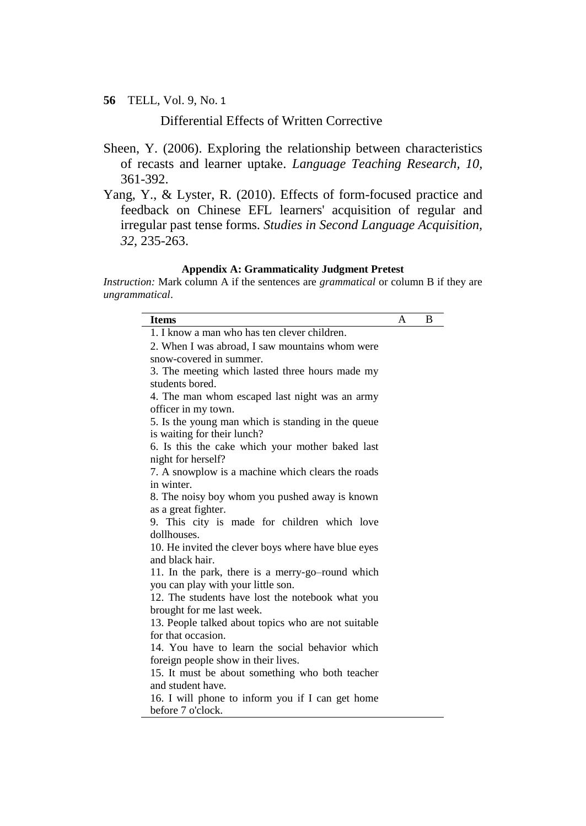Differential Effects of Written Corrective

- Sheen, Y. (2006). Exploring the relationship between characteristics of recasts and learner uptake. *Language Teaching Research, 10,*  361-392.
- Yang, Y., & Lyster, R. (2010). Effects of form-focused practice and feedback on Chinese EFL learners' acquisition of regular and irregular past tense forms. *Studies in Second Language Acquisition, 32,* 235-263.

#### **Appendix A: Grammaticality Judgment Pretest**

*Instruction:* Mark column A if the sentences are *grammatical* or column B if they are *ungrammatical*.

| <b>Items</b>                                        | A | B |
|-----------------------------------------------------|---|---|
| 1. I know a man who has ten clever children.        |   |   |
| 2. When I was abroad, I saw mountains whom were     |   |   |
| snow-covered in summer.                             |   |   |
| 3. The meeting which lasted three hours made my     |   |   |
| students bored.                                     |   |   |
| 4. The man whom escaped last night was an army      |   |   |
| officer in my town.                                 |   |   |
| 5. Is the young man which is standing in the queue  |   |   |
| is waiting for their lunch?                         |   |   |
| 6. Is this the cake which your mother baked last    |   |   |
| night for herself?                                  |   |   |
| 7. A snowplow is a machine which clears the roads   |   |   |
| in winter.                                          |   |   |
| 8. The noisy boy whom you pushed away is known      |   |   |
| as a great fighter.                                 |   |   |
| 9. This city is made for children which love        |   |   |
| dollhouses.                                         |   |   |
| 10. He invited the clever boys where have blue eyes |   |   |
| and black hair.                                     |   |   |
| 11. In the park, there is a merry-go-round which    |   |   |
| you can play with your little son.                  |   |   |
| 12. The students have lost the notebook what you    |   |   |
| brought for me last week.                           |   |   |
| 13. People talked about topics who are not suitable |   |   |
| for that occasion.                                  |   |   |
| 14. You have to learn the social behavior which     |   |   |
| foreign people show in their lives.                 |   |   |
| 15. It must be about something who both teacher     |   |   |
| and student have.                                   |   |   |
| 16. I will phone to inform you if I can get home    |   |   |
| before 7 o'clock.                                   |   |   |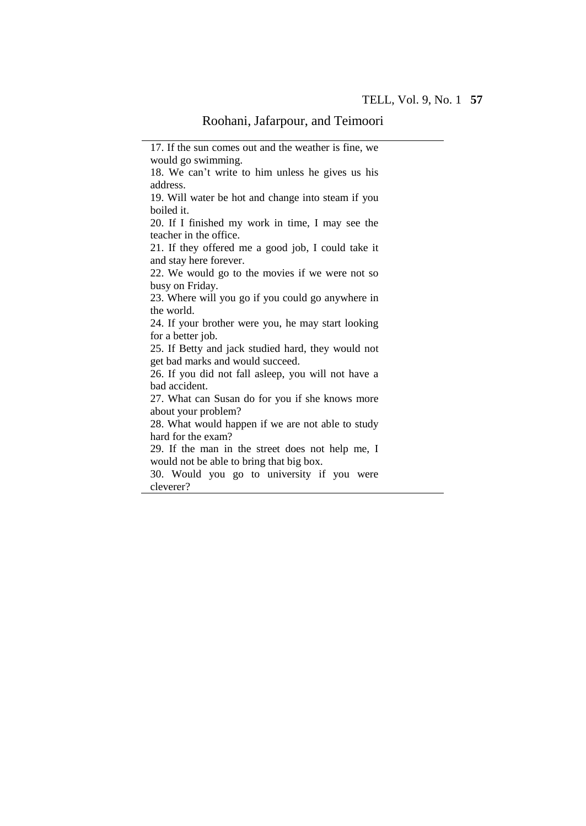17. If the sun comes out and the weather is fine, we

would go swimming. 18. We can't write to him unless he gives us his address. 19. Will water be hot and change into steam if you boiled it. 20. If I finished my work in time, I may see the teacher in the office. 21. If they offered me a good job, I could take it and stay here forever. 22. We would go to the movies if we were not so busy on Friday. 23. Where will you go if you could go anywhere in the world. 24. If your brother were you, he may start looking for a better job. 25. If Betty and jack studied hard, they would not get bad marks and would succeed. 26. If you did not fall asleep, you will not have a bad accident. 27. What can Susan do for you if she knows more about your problem? 28. What would happen if we are not able to study hard for the exam? 29. If the man in the street does not help me, I would not be able to bring that big box. 30. Would you go to university if you were cleverer?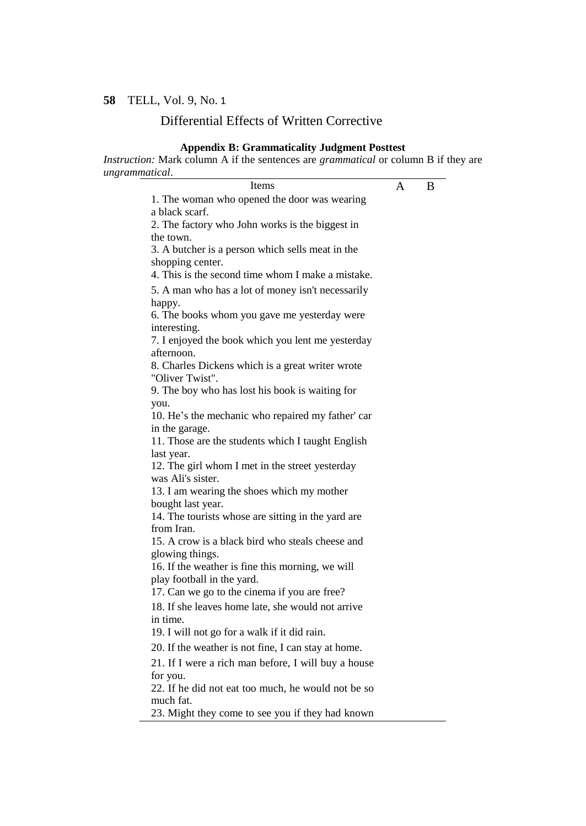#### Differential Effects of Written Corrective

#### **Appendix B: Grammaticality Judgment Posttest**

*Instruction:* Mark column A if the sentences are *grammatical* or column B if they are *ungrammatical*.

Items A B 1. The woman who opened the door was wearing a black scarf. 2. The factory who John works is the biggest in the town. 3. A butcher is a person which sells meat in the shopping center. 4. This is the second time whom I make a mistake. 5. A man who has a lot of money isn't necessarily happy. 6. The books whom you gave me yesterday were interesting. 7. I enjoyed the book which you lent me yesterday afternoon. 8. Charles Dickens which is a great writer wrote "Oliver Twist". 9. The boy who has lost his book is waiting for you. 10. He's the mechanic who repaired my father' car in the garage. 11. Those are the students which I taught English last year. 12. The girl whom I met in the street yesterday was Ali's sister. 13. I am wearing the shoes which my mother bought last year. 14. The tourists whose are sitting in the yard are from Iran. 15. A crow is a black bird who steals cheese and glowing things. 16. If the weather is fine this morning, we will play football in the yard. 17. Can we go to the cinema if you are free? 18. If she leaves home late, she would not arrive in time. 19. I will not go for a walk if it did rain. 20. If the weather is not fine, I can stay at home. 21. If I were a rich man before, I will buy a house for you. 22. If he did not eat too much, he would not be so much fat. 23. Might they come to see you if they had known